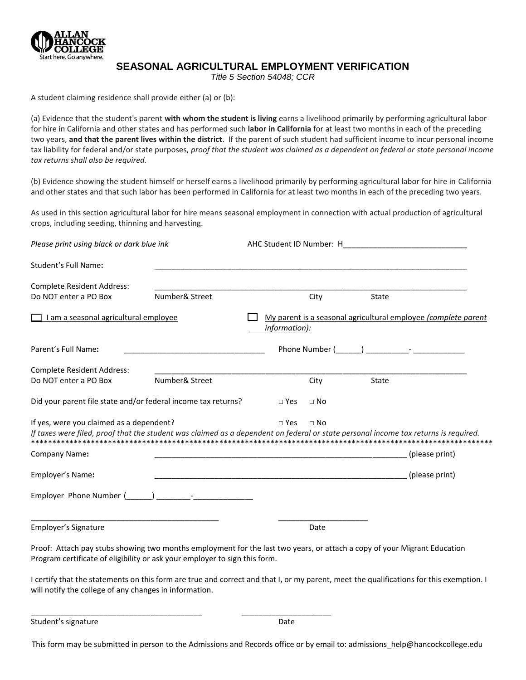

## **SEASONAL AGRICULTURAL EMPLOYMENT VERIFICATION**

*Title 5 Section 54048; CCR* 

A student claiming residence shall provide either (a) or (b):

(a) Evidence that the student's parent **with whom the student is living** earns a livelihood primarily by performing agricultural labor for hire in California and other states and has performed such **labor in California** for at least two months in each of the preceding two years, **and that the parent lives within the district**. If the parent of such student had sufficient income to incur personal income tax liability for federal and/or state purposes, *proof that the student was claimed as a dependent on federal or state personal income tax returns shall also be required.*

(b) Evidence showing the student himself or herself earns a livelihood primarily by performing agricultural labor for hire in California and other states and that such labor has been performed in California for at least two months in each of the preceding two years.

As used in this section agricultural labor for hire means seasonal employment in connection with actual production of agricultural crops, including seeding, thinning and harvesting.

| Please print using black or dark blue ink                                                                                                                                       |                                                                                                                       |               |           |  |              |                                                                                                                 |  |  |
|---------------------------------------------------------------------------------------------------------------------------------------------------------------------------------|-----------------------------------------------------------------------------------------------------------------------|---------------|-----------|--|--------------|-----------------------------------------------------------------------------------------------------------------|--|--|
| Student's Full Name:                                                                                                                                                            | <u> 1989 - Johann Harry Harry Harry Harry Harry Harry Harry Harry Harry Harry Harry Harry Harry Harry Harry Harry</u> |               |           |  |              |                                                                                                                 |  |  |
| <b>Complete Resident Address:</b>                                                                                                                                               |                                                                                                                       |               |           |  |              |                                                                                                                 |  |  |
| Do NOT enter a PO Box                                                                                                                                                           | Number& Street                                                                                                        |               | City      |  | <b>State</b> |                                                                                                                 |  |  |
| I am a seasonal agricultural employee                                                                                                                                           |                                                                                                                       | information): |           |  |              | My parent is a seasonal agricultural employee (complete parent                                                  |  |  |
| Parent's Full Name:                                                                                                                                                             |                                                                                                                       |               |           |  |              | Phone Number ( and ) and the set of the set of the set of the set of the set of the set of the set of the set o |  |  |
| <b>Complete Resident Address:</b>                                                                                                                                               |                                                                                                                       |               |           |  |              |                                                                                                                 |  |  |
| Do NOT enter a PO Box                                                                                                                                                           | Number& Street                                                                                                        |               | City      |  | <b>State</b> |                                                                                                                 |  |  |
| Did your parent file state and/or federal income tax returns?                                                                                                                   |                                                                                                                       | $\Box$ Yes    | $\Box$ No |  |              |                                                                                                                 |  |  |
| If yes, were you claimed as a dependent?<br>If taxes were filed, proof that the student was claimed as a dependent on federal or state personal income tax returns is required. |                                                                                                                       | $\Box$ Yes    | $\Box$ No |  |              |                                                                                                                 |  |  |
| <b>Company Name:</b>                                                                                                                                                            | <u> 1989 - Johann Harry Harry Harry Harry Harry Harry Harry Harry Harry Harry Harry Harry Harry Harry Harry Harry</u> |               |           |  |              | (please print)                                                                                                  |  |  |
| Employer's Name:                                                                                                                                                                | <u> 1989 - Johann Stoff, deutscher Stoff, der Stoff, der Stoff, der Stoff, der Stoff, der Stoff, der Stoff, der S</u> |               |           |  |              | (please print)                                                                                                  |  |  |
| Employer Phone Number (Company Company Figure 2014)                                                                                                                             |                                                                                                                       |               |           |  |              |                                                                                                                 |  |  |
| Employer's Signature                                                                                                                                                            |                                                                                                                       |               | Date      |  |              |                                                                                                                 |  |  |

Proof: Attach pay stubs showing two months employment for the last two years, or attach a copy of your Migrant Education Program certificate of eligibility or ask your employer to sign this form.

\_\_\_\_\_\_\_\_\_\_\_\_\_\_\_\_\_\_\_\_\_\_\_\_\_\_\_\_\_\_\_\_\_\_\_\_\_\_\_\_ \_\_\_\_\_\_\_\_\_\_\_\_\_\_\_\_\_\_\_\_\_

I certify that the statements on this form are true and correct and that I, or my parent, meet the qualifications for this exemption. I will notify the college of any changes in information.

Student's signature Date Communications and Date Date

This form may be submitted in person to the Admissions and Records office or by email to: admissions help@hancockcollege.edu